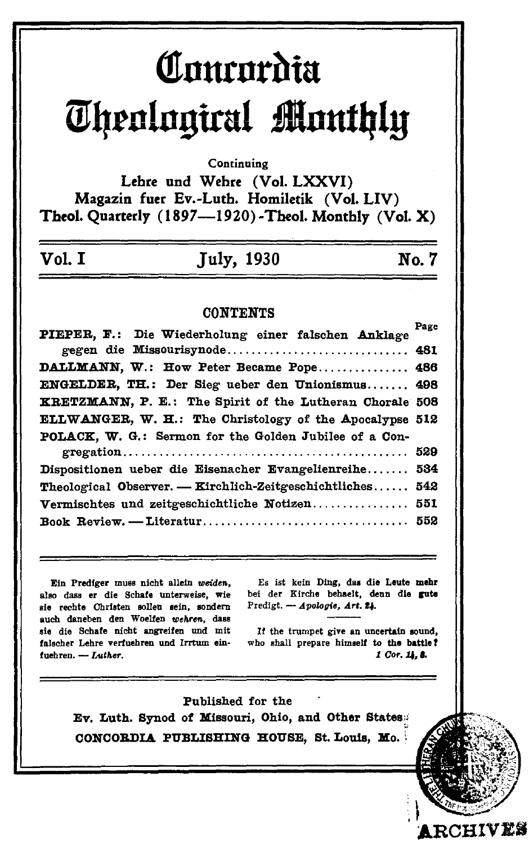## Comordia **Theological Monthly**

Continuing

Lehre und Wehre (Vol. LXXVI) Magazin fuer Ev.-Luth. Homiletik (Vol. LIV) Theol. Quarterly (1897-1920)-Theol. Monthly (Vol. X)

## **July, 1930**

No. 7

## **CONTENTS**

| PIEPER, F.: Die Wiederholung einer falschen Anklage       | Page |
|-----------------------------------------------------------|------|
| gegen die Missourisynode 481                              |      |
| DALLMANN, W.: How Peter Became Pope 486                   |      |
| ENGELDER, TH.: Der Sieg ueber den Unionismus 498          |      |
| KRETZMANN, P. E.: The Spirit of the Lutheran Chorale 508  |      |
| ELLWANGER, W. H.: The Christology of the Apocalypse 512   |      |
| POLACK, W. G.: Sermon for the Golden Jubilee of a Con-    |      |
|                                                           |      |
| Dispositionen ueber die Eisenacher Evangelienreihe 534    |      |
| Theological Observer. - Kirchlich-Zeitgeschichtliches 542 |      |
| Vermischtes und zeitgeschichtliche Notizen 551            |      |
|                                                           |      |
|                                                           |      |

Ein Prediger muss nicht allein weiden. also dass er die Schafe unterweise, wie sie rechte Christen sollen sein, sondern auch daneben den Woelfen wehren, dass sie die Schafe nicht angreifen und mit falscher Lehre verfuehren und Irrtum einfuehren. - Luther.

Es ist kein Ding, das die Leute mehr bei der Kirche behaelt. denn die gute Predigt. - Apologie, Art. 24.

If the trumpet give an uncertain sound, who shall prepare himself to the battle? 1 Cor. 14.8.

**RCHIVES** 

Published for the Ev. Luth. Synod of Missouri, Ohio, and Other States: CONCORDIA PUBLISHING HOUSE, St. Louis, Mo.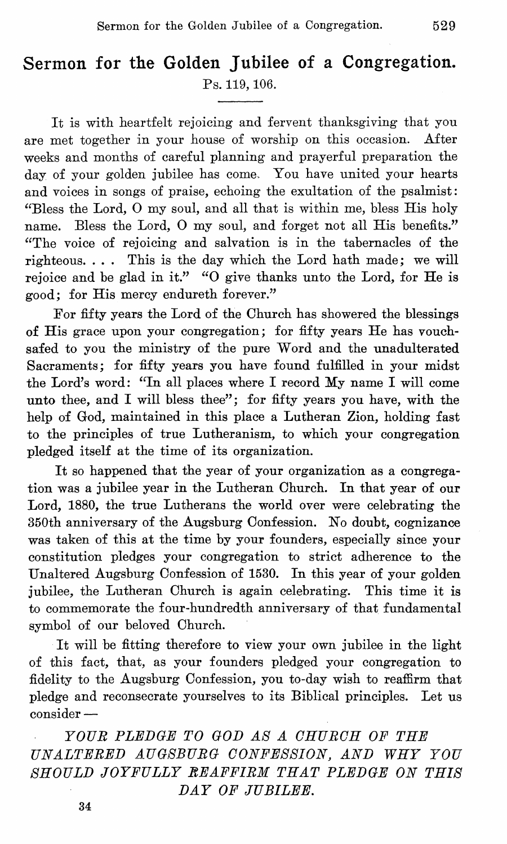## **Sermon for the Golden Jubilee of a Congregation.**  Ps. 119, 106.

It is with heartfelt rejoicing and fervent thanksgiving that you are met together in your house of worship on this occasion. After weeks and months of careful planning and prayerful preparation the day of your golden jubilee has come. You have united your hearts and voices in songs of praise, echoing the exultation of the psalmist: "Bless the Lord, 0 my soul, and all that is within me, bless His holy name. Bless the Lord, 0 my soul, and forget not all His benefits." "The voice of rejoicing and salvation is in the tabernacles of the righteous. . ., This is the day which the Lord hath made; we **will**  rejoice and be glad in it." "O give thanks unto the Lord, for He is good; for His mercy endureth forever."

For fifty years the Lord of the Church has showered the blessings of His grace upon your congregation; for fifty years He has vouchsafed to you the ministry of the pure Word and the unadulterated Sacraments; for fifty years you have found fulfilled in your midst the Lord's word: "In all places where I record My name I will come unto thee, and I will bless thee"; for fifty years you have, with the help of God, maintained in this place a Lutheran Zion, holding fast to the principles of true Lutheranism, to which your congregation pledged itself at the time of its organization.

It so happened that the year of your organization as a congregation was a jubilee year in the Lutheran Church. In that year of our Lord, 1880, the true Lutherans the world over were celebrating the 350th anniversary of the Augsburg Confession. No doubt, cognizance was taken of this at the time by your founders, especially since your constitution pledges your congregation to strict adherence to the Unaltered Augsburg Oonfession of 1530. In this year of your golden jubilee, the Lutheran Ohurch is again celebrating. This time it is to commemorate the four-hundredth anniversary of that fundamental symbol of our beloved Ohurch.

It will be fitting therefore to view your own jubilee in the light of this fact, that, as your founders pledged your congregation to fidelity to the Augsburg Oonfession, you to-day wish to reaffirm that pledge and reconsecrate yourselves to its Biblical principles. Let us consider-

*YOUR PLEDGE TO GOD AS A OHUROH OF THE UNALTERED AUG.8BURG OONFESSION, AND WHY YOU SHOULD JOYFULLY EEAFFIRM THAT PLEDGE ON THIS DAY OF JUBILEE.*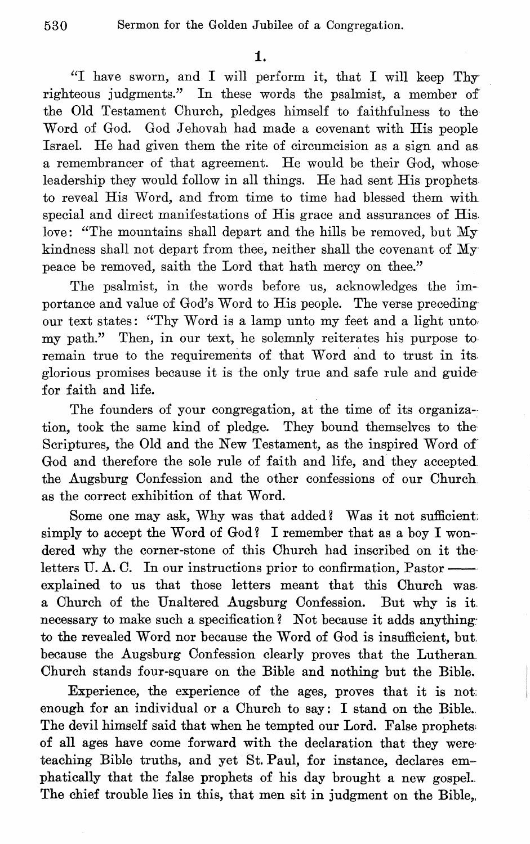"I have sworn, and I will perform it, that I will keep Thy righteous judgments." In these words the psalmist, a member of the Old Testament Ohurch, pledges himself to faithfulness to the Word of God. God Jehovah had made a covenant with His people Israel. He had given them the rite of circumcision as a sign and as a remembrancer of that agreement. He would be their God, whose leadership they would follow in all things. He had sent His prophets to reveal His Word, and from time to time had blessed them witll special and direct manifestations of His grace and assurances of His love: "The mountains shall depart and the hills be removed, but My kindness shall not depart from thee, neither shall the covenant of My peace be removed, saith the Lord that hath mercy on thee."

The psalmist, in the words before us, acknowledges the importance and value of God's Word to His people. The verse preceding our text states: "Thy Word is a lamp unto my feet and a light unto. my path." Then, in our text, he solenmly reiterates his purpose to remain true to the requirements of that Word and to trust in its glorious promises because it is the only true and safe rule and guide' for faith and life.

The founders of your congregation, at the time of its organization, took the same kind of pledge. They bound themselves to the Scriptures, the Old and the New Testament, as the inspired Word of God and therefore the sole rule of faith and life, and they accepted the Augsburg Oonfession and the other confessions of our Ohurch as the correct exhibition of that Word.

Some one may ask, Why was that added? Was it not sufficient. simply to accept the Word of God? I remember that as a boy I wondered why the corner-stone of this Church had inscribed on it theletters U.A.C. In our instructions prior to confirmation, Pastorexplained to us that those letters meant that this Church was a Ohurch of the Unaltered Augsburg Oonfession. But why is it, necessary to make such a specification? Not because it adds anything to the revealed Word nor because the Word of God is insufficient, but, because the Augsburg Oonfession clearly proves that the Lutheran. Ohurch stands four-square on the Bible and nothing but the Bible.

Experience, the experience of the ages, proves that it is not: enough for an individual or a Church to say: I stand on the Bible. The devil himself said that when he tempted our Lord. False prophets' of all ages have come forward with the declaration that they were' teaching Bible truths, and yet St. Paul, for instance, declares emphatically that the false prophets of his day brought a new gospel.. The chief trouble lies in this, that men sit in judgment on the Bible,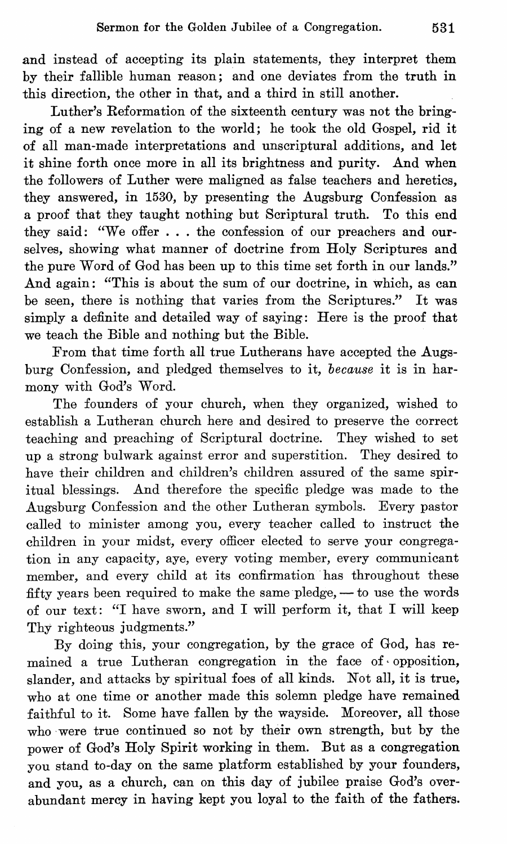and instead of accepting its plain statements, they interpret them by their fallible human reason; and one deviates from the truth in this direction, the other in that, and a third in still another.

Luther's Reformation of the sixteenth century was not the bringing of a new revelation to the world; he took the old Gospel, rid it of all man-made interpretations and unscriptural additions, and let it shine forth once more in all its brightness and purity. And when the followers of Luther were maligned as false teachers and heretics, they answered, in 1530, by presenting the Augsburg Oonfession as a proof that they taught nothing but Scriptural truth. To this end they said: "We offer . . . the confession of our preachers and ourselves, showing what manner of doctrine from Holy Scriptures and the pure Word of God has been up to this time set forth in our lands." And again: "This is about the sum of our doctrine, in which, as can be seen, there is nothing that varies from the Scriptures." It was simply a definite and detailed way of saying: Here is the proof that we teach the Bible and nothing but the Bible.

From that time forth all true Lutherans have accepted the Augsburg Oonfession, and pledged themselves to it, *because* it is in harmony with God's Word.

The founders of your church, when they organized, wished to establish a Lutheran church here and desired to preserve the correct teaching and preaching of Scriptural doctrine. They wished to set up a strong bulwark against error and superstition. They desired to have their children and children's children assured of the same spiritual blessings. And therefore the specific pledge was made to the Augsburg Oonfession and the other Lutheran symbols. Every pastor called to minister among you, every teacher called to instruct the children in your midst, every officer elected to serve your congregation in any capacity, aye, every voting member, every communicant member, and every child at its confirmation has throughout these fifty years been required to make the same pledge,  $-$  to use the words of our text: "I have sworn, and I will perform it, that I will keep Thy righteous judgments."

By doing this, your congregation, by the grace of God, has remained a true Lutheran congregation in the face of opposition, slander, and attacks by spiritual foes of all kinds. Not all, it is true, who at one time or another made this solemn pledge have remained faithful to it. Some have fallen by the wayside. Moreover, all those who were true continued so not by their own strength, but by the power of God's Holy Spirit working in them. But as a congregation you stand to-day on the same platform established by your founders, and you, as a church, can on this day of jubilee praise God's overabundant mercy in having kept you loyal to the faith of the fathers.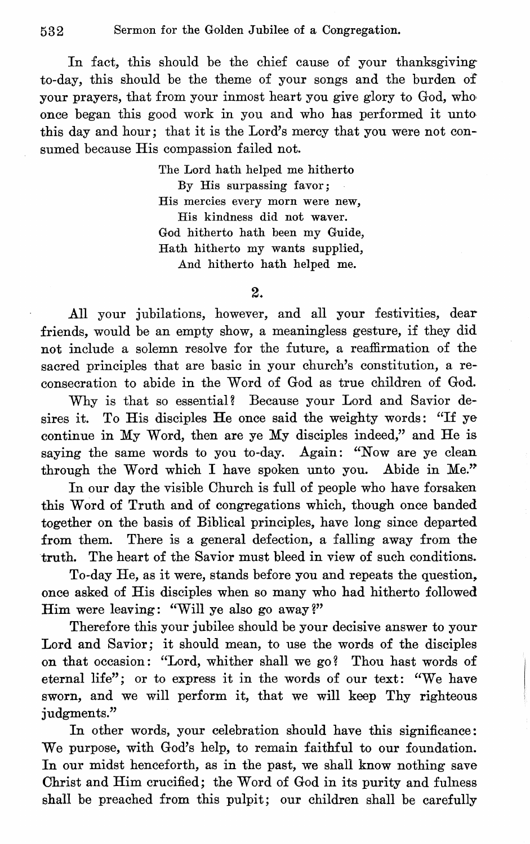In fact, this should be the chief cause of your thanksgiving to-day, this should be the theme of your songs and the burden of your prayers, that from your inmost heart you give glory to God, who, once began this good work in you and who has performed it unto this day and hour; that it is the Lord's mercy that you were not consumed because His compassion failed not.

> The Lord hath helped me hitherto By His surpassing favor; His mercies every morn were new, His kindness did not waver. God hitherto hath been my Guide, Hath hitherto my wants supplied, And hitherto hath helped me.

> > 2.

All your jubilations, however, and all your festivities, dear friends, would be an empty show, a meaningless gesture, if they did not include a solemn resolve for the future, a reaffirmation of the sacred principles that are basic in your church's constitution, a reconsecration to abide in the Word of God as true children of God.

Why is that so essential? Because your Lord and Savior desires it. To His disciples He once said the weighty words: "If ye continue in My Word, then are ye My disciples indeed," and He is saying the same words to you to-day. Again: "Now are ye clean through the Word which I have spoken unto you. Abide in Me."

In our day the visible Ohurch is full of people who have forsaken this Word of Truth and of congregations which, though once banded together on the basis of Biblical principles, have long since departed from them. There is a general defection, a falling away from the truth. The heart of the Savior must bleed in view of such conditions.

To-day He, as it were, stands before you and repeats the question, once asked of His disciples when so many who had hitherto followed Him were leaving: "Will ye also go away?"

Therefore this your jubilee should be your decisive answer to your Lord and Savior; it should mean, to use the words of the disciples on that occasion: "Lord, whither shall we go? Thou hast words of eternal life"; or to express it in the words of our text: "We have sworn, and we will perform it, that we will keep Thy righteous iudgments."

In other words, your celebration should have this significance: We purpose, with God's help, to remain faithful to our foundation. In our midst henceforth, as in the past, we shall know nothing save Ohrist and Him crucified; the Word of God in its purity and fulness shall be preached from this pulpit; our children shall be carefully